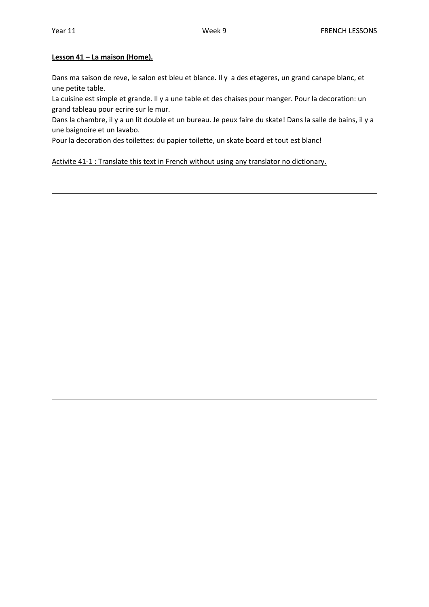#### **Lesson 41 – La maison (Home).**

Dans ma saison de reve, le salon est bleu et blance. Il y a des etageres, un grand canape blanc, et une petite table.

La cuisine est simple et grande. Il y a une table et des chaises pour manger. Pour la decoration: un grand tableau pour ecrire sur le mur.

Dans la chambre, il y a un lit double et un bureau. Je peux faire du skate! Dans la salle de bains, il y a une baignoire et un lavabo.

Pour la decoration des toilettes: du papier toilette, un skate board et tout est blanc!

Activite 41-1 : Translate this text in French without using any translator no dictionary.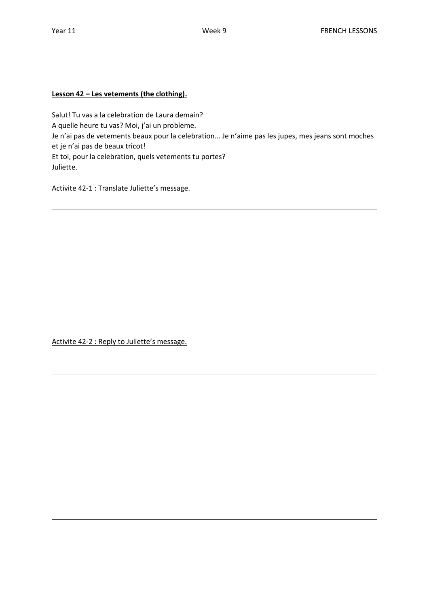# **Lesson 42 – Les vetements (the clothing).**

Salut! Tu vas a la celebration de Laura demain? A quelle heure tu vas? Moi, j'ai un probleme. Je n'ai pas de vetements beaux pour la celebration... Je n'aime pas les jupes, mes jeans sont moches et je n'ai pas de beaux tricot! Et toi, pour la celebration, quels vetements tu portes? Juliette.

Activite 42-1 : Translate Juliette's message.

Activite 42-2 : Reply to Juliette's message.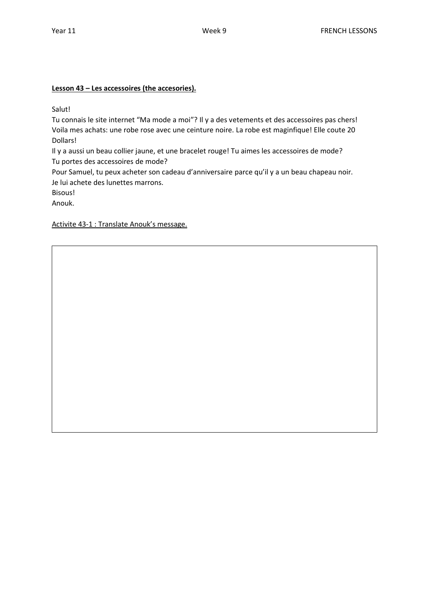## **Lesson 43 – Les accessoires (the accesories).**

Salut!

Tu connais le site internet "Ma mode a moi"? Il y a des vetements et des accessoires pas chers! Voila mes achats: une robe rose avec une ceinture noire. La robe est maginfique! Elle coute 20 Dollars!

Il y a aussi un beau collier jaune, et une bracelet rouge! Tu aimes les accessoires de mode? Tu portes des accessoires de mode?

Pour Samuel, tu peux acheter son cadeau d'anniversaire parce qu'il y a un beau chapeau noir. Je lui achete des lunettes marrons.

Bisous!

Anouk.

Activite 43-1 : Translate Anouk's message.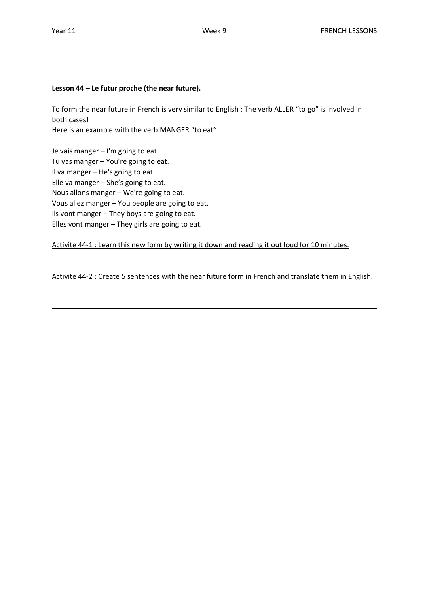## **Lesson 44 – Le futur proche (the near future).**

To form the near future in French is very similar to English : The verb ALLER "to go" is involved in both cases! Here is an example with the verb MANGER "to eat".

Je vais manger – I'm going to eat. Tu vas manger – You're going to eat. Il va manger – He's going to eat. Elle va manger – She's going to eat. Nous allons manger – We're going to eat. Vous allez manger – You people are going to eat. Ils vont manger – They boys are going to eat. Elles vont manger – They girls are going to eat.

Activite 44-1 : Learn this new form by writing it down and reading it out loud for 10 minutes.

Activite 44-2 : Create 5 sentences with the near future form in French and translate them in English.